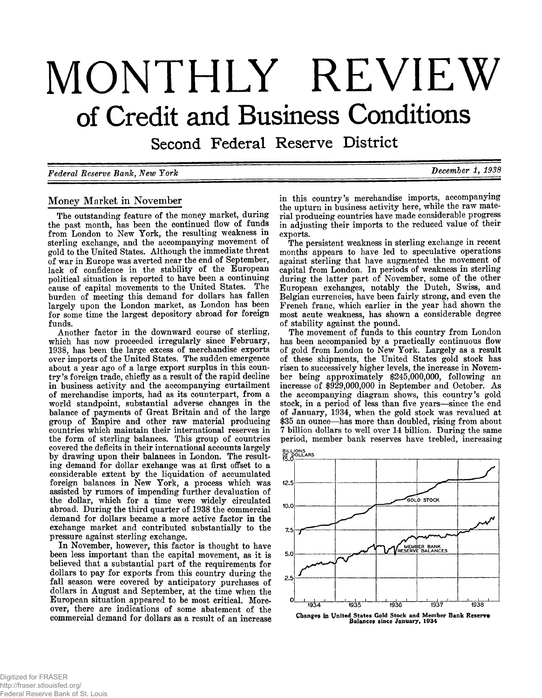# MONTHLY REVIEW of Credit and Business Conditions

Second Federal Reserve District

*Federal Reserve Bank, New York* **December 1, 1938** 

# **Money Market in November**

**The outstanding feature of the money market, during the past month, has been the continued flow of funds from London to New York, the resulting weakness in sterling exchange, and the accompanying movement of gold to the United States. Although the immediate threat of war in Europe was averted near the end of September, lack of confidence in the stability of the European political situation is reported to have been a continuing cause of capital movements to the United States. The burden of meeting this demand for dollars has fallen largely upon the London market, as London has been for some time the largest depository abroad for foreign funds.**

**Another factor in the downward course of sterling, which has now proceeded irregularly since February, 1938, has been the large excess of merchandise exports over imports of the United States. The sudden emergence about a year ago of a large export surplus in this countr y 's foreign trade, chiefly as a result of the rapid decline in business activity and the accompanying curtailment of merchandise imports, had as its counterpart, from a world standpoint, substantial adverse changes in the balance of payments of Great Britain and of the large group of Empire and other raw material producing countries which maintain their international reserves in the form of sterling balances. This group of countries covered the deficits in their international accounts largely by drawing upon their balances in London. The resulting demand for dollar exchange was at first offset to a considerable extent by the liquidation of accumulated foreign balances in New York, a process which was assisted by rumors of impending further devaluation of the dollar, which for a time were widely circulated abroad. During the third quarter of 1938 the commercial demand for dollars became a more active factor in the exchange market and contributed substantially to the pressure against sterling exchange.**

**In November, however, this factor is thought to have been less important than the capital movement, as it is believed that a substantial part of the requirements for dollars to pay for exports from this country during the fall season were covered by anticipatory purchases of dollars in August and September, at the time when the European situation appeared to be most critical. Moreover, there are indications of some abatement of the commercial demand for dollars as a result of an increase**

**in this country's merchandise imports, accompanying the upturn in business activity here, while the raw material producing countries have made considerable progress in adjusting their imports to the reduced value of their exports.**

**The persistent weakness in sterling exchange in recent months appears to have led to speculative operations against sterling that have augmented the movement of capital from London. In periods of weakness in sterling during the latter part of November, some of the other European exchanges, notably the Dutch, Swiss, and Belgian currencies, have been fairly strong, and even the French franc, which earlier in the year had shown the most acute weakness, has shown a considerable degree of stability against the pound.**

**The movement of funds to this country from London has been accompanied by a practically continuous flow of gold from London to New York. Largely as a result of these shipments, the United States gold stock has risen to successively higher levels, the increase in November being approximately \$245,000,000, following an increase of \$929,000,000 in September and October. A s the accompanying diagram shows, this country's gold stock, in a period of less than five years— since the end of January, 1934, when the gold stock was revalued at \$35 an ounce— has more than doubled, rising from about 7 billion dollars to well over 14 billion. During the same period, member bank reserves have trebled, increasing**



Changes in United States Gold Stock and Member Bank Reserve<br>Balances since January, 1934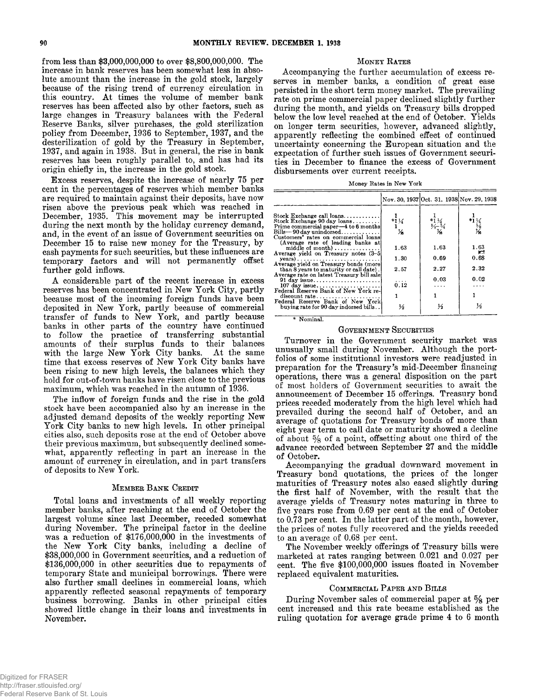**from less than \$3,000,000,000 to over \$8,800,000,000. The increase in bank reserves has been somewhat less in absolute amount than the increase in the gold stock, largely because of the rising trend of currency circulation in** this country. At times the volume of member bank **reserves has been affected also by other factors, such as large changes in Treasury balances with the Federal Reserve Banks, silver purchases, the gold sterilization policy from December, 1936 to September, 1937, and the desterilization of gold by the Treasury in September, 1937, and again in 1938. But in general, the rise in bank reserves has been roughly parallel to, and has had its origin chiefly in, the increase in the gold stock.**

**Excess reserves, despite the increase of nearly 75 per cent in the percentages of reserves which member banks are required to maintain against their deposits, have now risen above the previous peak which was reached in December, 1935. This movement may be interrupted during the next month by the holiday currency demand, and, in the event of an issue of Government securities on December 15 to raise new money for the Treasury, by cash payments for such securities, but these influences are temporary factors and will not permanently offset further gold inflows.**

**A considerable part of the recent increase in excess reserves has been concentrated in New York City, partly because most of the incoming foreign funds have been deposited in New York, partly because of commercial transfer of funds to New York, and partly because banks in other parts of the country have continued to follow the practice of transferring substantial amounts of their surplus funds to their balances** with the large New York City banks. At the same **time that excess reserves of New York City banks have been rising to new high levels, the balances which they hold for out-of-town banks have risen close to the previous maximum, which was reached in the autumn of 1936.**

**The inflow of foreign funds and the rise in the gold stock have been accompanied also by an increase in the adjusted demand deposits of the weekly reporting New York City banks to new high levels. In other principal cities also, such deposits rose at the end of October above their previous maximum, but subsequently declined somewhat, apparently reflecting in part an increase in the amount of currency in circulation, and in part transfers of deposits to New York.**

## **M e m b e r B a n k C redit**

**Total loans and investments of all weekly reporting member banks, after reaching at the end of October the largest volume since last December, receded somewhat during November. The principal factor in the decline was a reduction of \$176,000,000 in the investments of the New York City banks, including a decline of \$38,000,000 in Government securities, and a reduction of \$136,000,000 in other securities due to repayments of temporary State and municipal borrowings. There were also further small declines in commercial loans, which apparently reflected seasonal repayments of temporary business borrowing. Banks in other principal cities showed little change in their loans** and **investments in November.**

#### **MONEY RATES**

**Accompanying the further accumulation of excess reserves in member banks, a condition of great ease persisted in the short term money market. The prevailing rate on prime commercial paper declined slightly further during the month, and yields on Treasury bills dropped below the low level reached at the end of October. Yields on longer term securities, however, advanced slightly, apparently reflecting the combined effect of continued uncertainty concerning the European situation and the expectation of further such issues of Government securities in December to finance the excess of Government disbursements over current receipts.**

**Money Rates in New York**

|                                                                               |                         | Nov. 30, 1937 Oct. 31, 1938 Nov. 29, 1938                                                          |                                                        |
|-------------------------------------------------------------------------------|-------------------------|----------------------------------------------------------------------------------------------------|--------------------------------------------------------|
| Stock Exchange call loans $\dots\dots\dots$                                   |                         |                                                                                                    |                                                        |
| Stock Exchange 90 day loans                                                   | $*1\frac{1}{4}$         | $\frac{1}{2}$<br>$\frac{1}{2}$<br>$\frac{1}{2}$<br>$\frac{1}{2}$<br>$\frac{1}{2}$<br>$\frac{1}{2}$ | $*1\frac{1}{2}$<br>$*1\frac{5}{2}$<br>$*2\frac{5}{16}$ |
| Prime commercial paper—4 to 6 months<br>$Bills \rightarrow 90$ day unindorsed | $\frac{1}{4}$           |                                                                                                    |                                                        |
| Customers' rates on commercial loans                                          |                         |                                                                                                    |                                                        |
| (Average rate of leading banks at<br>middle of month)                         | 1.63                    | 1.63                                                                                               | 1.63                                                   |
| Average yield on Treasury notes (3-5)                                         |                         |                                                                                                    | r.                                                     |
| $\textbf{years}$ )<br>Average vield on Treasury bonds (more                   | 1.30                    | 0.69                                                                                               | 0.68                                                   |
| than 8 years to maturity or call date).                                       | 2.57                    | 2.27                                                                                               | 2.32                                                   |
| Average rate on latest Treasury bill sale                                     |                         | 0.03                                                                                               | 0.02                                                   |
| $107$ day issue                                                               | $\overrightarrow{0.12}$ | $\cdots$                                                                                           |                                                        |
| Federal Reserve Bank of New York re-<br>discount rate                         |                         |                                                                                                    |                                                        |
| Federal Reserve Bank of New York                                              |                         |                                                                                                    |                                                        |
| buying rate for 90 day indorsed bills                                         | $\frac{1}{2}$           | ⅓                                                                                                  | ⅓                                                      |
| * Nominal.                                                                    |                         |                                                                                                    |                                                        |

#### **GOVERNMENT SECURITIES**

**Turnover in the Government security market was unusually small during November. Although the portfolios of some institutional investors were readjusted in preparation for the Treasury***'s* **mid-December financing operations, there was a general disposition on the part of most holders of Government securities to await the announcement of December 15 offerings. Treasury bond prices receded moderately from the high level which had prevailed during the second half of October, and an average of quotations for Treasury bonds of more than eight year term to call date or maturity showed a decline of about % of a point, offsetting about one third of the advance recorded between September 27 and the middle of October.**

**Accompanying the gradual downward movement in Treasury bond quotations, the prices of the longer maturities of Treasury notes also eased slightly during the first half of November, with the result that the average yields of Treasury notes maturing in three to five years rose from 0.69 per cent at the end of October to 0.73 per cent. In the latter part of the month, however, the prices of notes fully recovered and the yields receded to an average of 0.68 per cent.**

**The November weekly offerings of Treasury bills were marketed at rates ranging between 0.021 and 0.027 per cent. The five \$100,000,000 issues floated in November replaced equivalent maturities.**

#### COMMERCIAL PAPER AND BILLS

During November sales of commercial paper at  $\frac{5}{8}$  per **cent increased and this rate became established as the ruling quotation for average grade prime 4 to 6 month**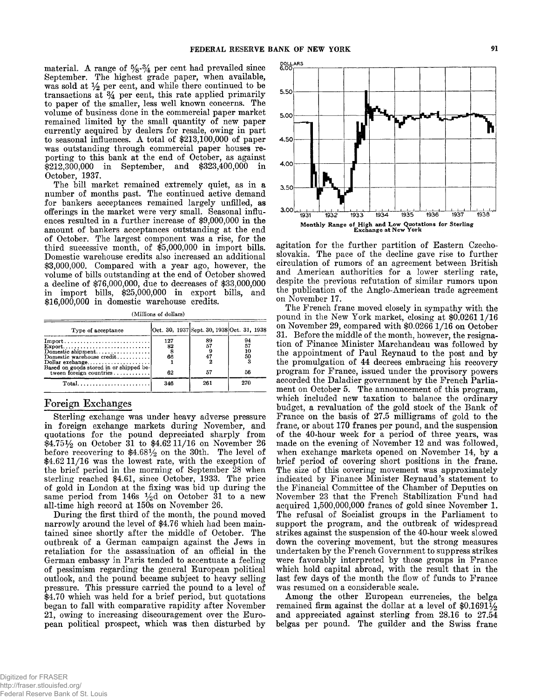material. A range of  $\frac{5}{8}$ - $\frac{3}{4}$  per cent had prevailed since **September. The highest grade paper, when available,** was sold at  $\frac{1}{2}$  per cent, and while there continued to be **transactions at** *%* **per cent, this rate applied primarily to paper of the smaller, less well known concerns. The volume of business done in the commercial paper market remained limited by the small quantity of new paper currently acquired by dealers for resale, owing in part to seasonal influences. A total of \$213,100,000 of paper was outstanding through commercial paper houses reporting to this bank at the end of October, as against \$212,300,000 in September, and \$323,400,000 in October, 1937.**

**The bill market remained extremely quiet, as in a number of months past. The continued active demand for bankers acceptances remained largely unfilled, as olferings in the market were very small. Seasonal influences resulted in a further increase of \$9,000,000 in the amount of bankers acceptances outstanding at the end of October. The largest component was a rise, for the third successive month, of \$5,000,000 in import bills. Domestic warehouse credits also increased an additional \$3,000,000. Compared with a year ago, however, the volume of bills outstanding at the end of October showed a decline of \$76,000,000, due to decreases of \$33,000,000 in import bills, \$25,000,000 in export bills, and \$16,000,000 in domestic warehouse credits.**

**(Millions of dollars)**

| Type of acceptance                                                                                                                                                    | Oct. 30, 1937 Sept. 30, 1938 Oct. 31, 1938 |  |          |  |                            |  |
|-----------------------------------------------------------------------------------------------------------------------------------------------------------------------|--------------------------------------------|--|----------|--|----------------------------|--|
| $Import$<br>$Export \ldots \ldots \ldots \ldots \ldots \ldots \ldots \ldots$<br>Dollar exchange<br>Based on goods stored in or shipped be-<br>tween foreign countries | 127<br>82<br>66<br>62                      |  | 89<br>57 |  | 94<br>57<br>10<br>50<br>56 |  |
| $Total \dots \dots \dots \dots \dots \dots \dots \dots$                                                                                                               | 346                                        |  | 261      |  | 270                        |  |

# **Foreign Exchanges**

**Sterling exchange was under heavy adverse pressure in foreign exchange markets during November, and quotations for the pound depreciated sharply from**  $$4.75\frac{1}{2}$  on October 31 to \$4.62 11/16 on November 26 before recovering to  $$4.68\frac{1}{2}$  on the 30th. The level of \$4.62 11/16 was the lowest rate, with the exception of **the brief period in the morning of September 28 when sterling reached \$4.61, since October, 1933. The price of gold in London at the fixing was bid up during the** same period from  $146s \frac{1}{2}d$  on October  $31$  to a new **all-time high record at 150s on November 26.**

**During the first third of the month, the pound moved narrowly around the level of \$4.76 which had been maintained since shortly after the middle of October. The outbreak of a German campaign against the Jews in retaliation for the assassination of an official in the German embassy in Paris tended to accentuate a feeling of pessimism regarding the general European political outlook, and the pound became subject to heavy selling pressure. This pressure carried the pound to a level of \$4.70 which was held for a brief period, but quotations began to fall with comparative rapidity after November 21, owing to increasing discouragement over the European political prospect, which was then disturbed by**



**agitation for the further partition of Eastern Czechoslovakia. The pace of the decline gave rise to further circulation of rumors of an agreement between British and American authorities for a lower sterling rate, despite the previous refutation of similar rumors upon** the publication of the Anglo-American trade agreement **on November 17.**

**The French franc moved closely in sympathy with the** pound in the New York market, closing at \$0.0261 1/16 on November 29, compared with \$0.0266 1/16 on October **31. Before the middle of the month, however, the resignation of Finance Minister Marchandeau was followed by the appointment of Paul Reynaud to the post and by the promulgation of 44 decrees embracing his recovery program for France, issued under the provisory powers accorded the Daladier government by the French Parliament on October 5. The announcement of this program, which included new taxation to balance the ordinary budget, a revaluation of the gold stock of the Bank of France on the basis of 27.5 milligrams of gold to the franc, or about 170 francs per pound, and the suspension of the 40-hour week for a period of three years, was made on the evening of November 12 and was followed, when exchange markets opened on November 14, by a brief period of covering short positions in the franc. The size of this covering movement was approximately indicated by Finance Minister Reynaud's statement to the Financial Committee of the Chamber of Deputies on November 23 that the French Stabilization Fund had acquired 1,500,000,000 francs of gold since November 1. The refusal of Socialist groups in the Parliament to support the program, and the outbreak of widespread strikes against the suspension of the 40-hour week slowed down the covering movement, but the strong measures undertaken by the French Government to suppress strikes were favorably interpreted by those groups in France which hold capital abroad, with the result that in the last few days of the month the flow of funds to France was resumed on a considerable scale.**

**Am ong the other European currencies, the belga remained firm against the dollar at a level of \$0.1691% and appreciated against sterling from 28.16 to 27.54 belgas per pound. The guilder and the Swiss franc**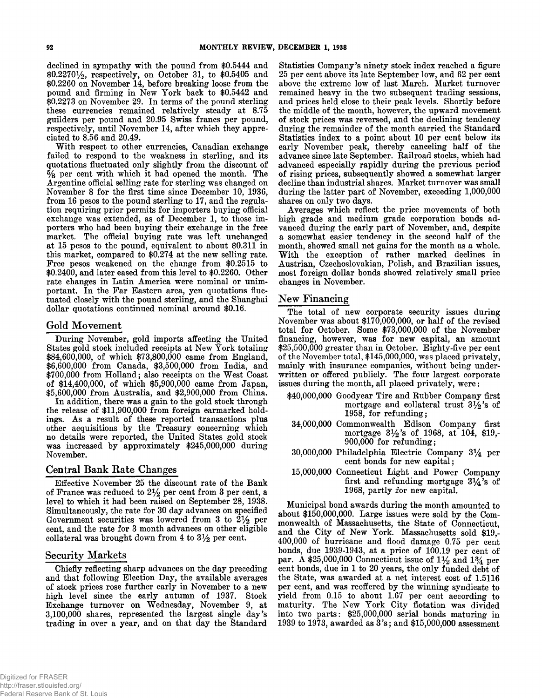**declined in sympathy with the pound from \$0.5444 and \$0.2270% , respectively, on October 31, to \$0.5405 and \$0.2260 on November 14, before breaking loose from the pound and firming in New York back to \$0.5442 and \$0.2273 on November 29. In terms of the pound sterling these currencies remained relatively steady at 8.75 guilders per pound and 20.95 Swiss francs per pound, respectively, until November 14, after which they appreciated to 8.56 and 20.49.**

With respect to other currencies, Canadian exchange **failed to respond to the weakness in sterling, and its quotations fluctuated only slightly from the discount of % per cent with which it had opened the month. The Argentine official selling rate for sterling was changed on November 8 for the first time since December 10, 1936, from 16 pesos to the pound sterling to 17, and the regulation requiring prior permits for importers buying official exchange was extended, as of December 1, to those importers who had been buying their exchange in the free market. The official buying rate was left unchanged at 15 pesos to the pound, equivalent to about \$0,311 in this market, compared to \$0,274 at the new selling rate. Free pesos weakened on the change from \$0.2515 to \$0.2400, and later eased from this level to \$0.2260. Other rate changes in Latin America were nominal or unimportant. In the Far Eastern area, yen quotations fluctuated closely with the pound sterling, and the Shanghai dollar quotations continued nominal around \$0.16.**

#### **Gold Movement**

**During November, gold imports affecting the United States gold stock included receipts at New York totaling \$84,600,000, of which \$73,800,000 came from England, \$6,600,000 from Canada, \$3,500,000 from India, and** \$700,000 from Holland; also receipts on the West Coast **of \$14,400,000, of which \$5,900,000 came from Japan, \$5,600,000 from Australia, and \$2,900,000 from China.**

**In addition, there was a gain to the gold stock through the release of \$11,900,000 from foreign earmarked hold**ings. As a result of these reported transactions plus **other acquisitions by the Treasury concerning which no details were reported, the United States gold stock was increased by approximately \$245,000,000 during November.**

### **Central Bank Rate Changes**

**Effective November 25 the discount rate of the Bank** of France was reduced to  $2\frac{1}{2}$  per cent from 3 per cent, a **level to which it had been raised on September 28, 1938. Simultaneously, the rate for 30 day advances on specified** Government securities was lowered from 3 to  $2\frac{1}{2}$  per **cent, and the rate for 3 month advances on other eligible collateral was brought down from 4 to 3 % per cent.**

# **Security Markets**

**Chiefly reflecting sharp advances on the day preceding and that following Election Day, the available averages of stock prices rose further early in November to a new high level since the early autumn of 1937. Stock Exchange turnover on Wednesday, November 9, at 3,100,000** shares, represented the largest single day's **trading in over a year, and on that day the Standard** Statistics Company's ninety stock index reached a figure **25 per cent above its late September low, and 62 per cent above the extreme low of last March. Market turnover remained heavy in the two subsequent trading sessions, and prices held close to their peak levels. Shortly before the middle of the month, however, the upward movement of stock prices was reversed, and the declining tendency during the remainder of the month carried the Standard Statistics index to a point about 10 per cent below its early November peak, thereby canceling half of the advance since late September. Railroad stocks, which had advanced especially rapidly during the previous period of rising prices, subsequently showed a somewhat larger decline than industrial shares. Market turnover was small during the latter part of November, exceeding 1,000,000 shares on only two days.**

**Averages which reflect the price movements of both high grade and medium grade corporation bonds advanced during the early part of November, and, despite a somewhat easier tendency in the second half of the month, showed small net gains for the month as a whole.** With the exception of rather marked declines in **Austrian, Czechoslovakian, Polish, and Brazilian issues, most foreign dollar bonds showed relatively small price changes in November.**

#### **New Financing**

**The total of new corporate security issues during November was about \$170,000,000, or half of the revised total for October. Some \$73,000,000 of the November financing, however, was for new capital, an amount \$25,500,000 greater than in October. Eighty-five per cent of the November total, \$145,000,000, was placed privately, mainly with insurance companies, without being underwritten or offered publicly. The four largest corporate** issues during the month, all placed privately, were:

- **\$40,000,000 Goodyear Tire and Eubber Company first mortgage and collateral trust 3 % 's of 1958, for refunding;**
- **34.000.000 Commonwealth Edison Company first mortgage 3 % 's of 1968, at 104, \$19,- 900,000 for refunding;**
- **30.000.000 Philadelphia Electric Company** *3 %* **per cent bonds for new capital;**
- **15.000.000 Connecticut Light and Power Company first and refunding mortgage** *3 %* **'s of 1968, partly for new capital.**

**Municipal bond awards during the month amounted to about \$150,000,000. Large issues were sold by the Commonwealth of Massachusetts, the State of Connecticut, and the City of New York. Massachusetts sold \$19,- 400,000 of hurricane and flood damage 0.75 per cent bonds, due 1939-1943, at a price of 100.19 per cent of par. A \$25,000,000 Connecticut issue of 1 % and 1***%* **per cent bonds, due in 1 to 20 years, the only funded debt of the State, was awarded at a net interest cost of 1.5116 per cent, and was reoffered by the winning syndicate to yield from 0.15 to about 1.67 per cent according to maturity. The New York City flotation was divided into two parts: \$25,000,000 serial bonds maturing in 1939 to 1973, awarded as 3 's ; and \$15,000,000 assessment**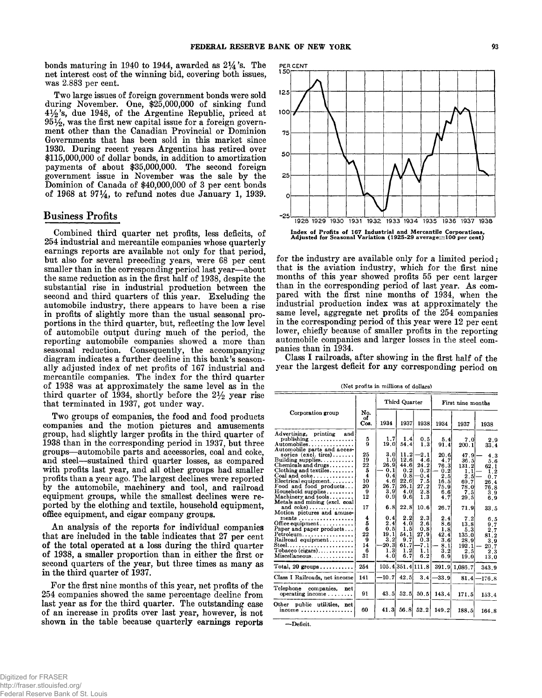bonds maturing in 1940 to 1944, awarded as  $2\frac{1}{4}$ 's. The **net interest cost of the winning bid, covering both issues, was 2.883 per cent.**

**Two large issues of foreign government bonds were sold during November. One, \$25,000,000 of sinking fund 4 % 's, due 1948, of the Argentine Republic, priced at 9 5 % , was the first new capital issue for a foreign government other than the Canadian Provincial or Dominion Governments that has been sold in this market since 1930. During recent years Argentina has retired over \$115,000,000 of dollar bonds, in addition to amortization payments of about \$35,000,000. The second foreign government issue in November was the sale by the Dominion of Canada of \$40,000,000 of 3 per cent bonds of 1968 at 97\*4, to refund notes due January 1, 1939.**

# **Business Profits**

**Combined third quarter net profits, less deficits, of 254 industrial and mercantile companies whose quarterly earnings reports are available not only for that period, but also for several preceding years, were 68 per cent smaller than in the corresponding period last year— about the same reduction as in the first half of 1938, despite the substantial rise in industrial production between the second and third quarters of this year. Excluding the automobile industry, there appears to have been a rise in profits of slightly more than the usual seasonal proportions in the third quarter, but, reflecting the low level of automobile output during much of the period, the reporting automobile companies showed a more than seasonal reduction. Consequently, the accompanying diagram indicates a further decline in this bank's seasonally adjusted index of net profits of 167 industrial and mercantile companies. The index for the third quarter of 1938 was at approximately the same level as in the** third quarter of 1934, shortly before the 2½ year rise **that terminated in 1937, got under way.**

**Two groups of companies, the food and food products companies and the motion pictures and amusements group, had slightly larger profits in the third quarter of 1938 than in the corresponding period in 1937, but three groups— automobile parts and accessories, coal and coke, and steel— sustained third quarter losses, as compared with profits last year, and all other groups had smaller profits than a year ago. The largest declines were reported by the automobile, machinery and tool, and railroad equipment groups, while the smallest declines were reported by the clothing and textile, household equipment, office equipment, and cigar company groups.**

An analysis of the reports for individual companies **that are included in the table indicates that 27 per cent** of the total operated at a loss during the third quarter **of 1938, a smaller proportion than in either the first or second quarters of the year, but three times as many as in the third quarter of 1937.**

**For the first nine months of this year, net profits of the 254 companies showed the same percentage decline from last year as for the third quarter. The outstanding case of an increase in profits over last year, however, is not shown in the table because quarterly earnings reports**



**for the industry are available only for a limited period ; that is the aviation industry, which for the first nine months of this year showed profits 55 per cent larger** than in the corresponding period of last year. As com**pared with the first nine months of 1934, when the industrial production index was at approximately the same level, aggregate net profits of the 254 companies in the corresponding period of this year were 12 per cent lower, chiefly because of smaller profits in the reporting automobile companies and larger losses in the steel companies than in 1934.**

**Class I railroads, after showing in the first half of the year the largest deficit for any corresponding period on**

**(Net profits in millions of dollars)**

|                                                                                                                                                                                                                                                                                                                                                                                                                                                                                                                                                            |                                                                                                                                  |                                                                                                                                                                  | Third Quarter                                                                                                                                      |                                                                                                                                                  | First nine months                                                                                                                               |                                                                                                                                                           |                                                                                                                                                  |  |
|------------------------------------------------------------------------------------------------------------------------------------------------------------------------------------------------------------------------------------------------------------------------------------------------------------------------------------------------------------------------------------------------------------------------------------------------------------------------------------------------------------------------------------------------------------|----------------------------------------------------------------------------------------------------------------------------------|------------------------------------------------------------------------------------------------------------------------------------------------------------------|----------------------------------------------------------------------------------------------------------------------------------------------------|--------------------------------------------------------------------------------------------------------------------------------------------------|-------------------------------------------------------------------------------------------------------------------------------------------------|-----------------------------------------------------------------------------------------------------------------------------------------------------------|--------------------------------------------------------------------------------------------------------------------------------------------------|--|
| Corporation group                                                                                                                                                                                                                                                                                                                                                                                                                                                                                                                                          | No.<br>оf<br>Cos.                                                                                                                | 1934                                                                                                                                                             | 1937                                                                                                                                               | 1938                                                                                                                                             | 1934                                                                                                                                            | 1937                                                                                                                                                      | 1938                                                                                                                                             |  |
| Advertising, printing<br>and<br>publishing<br>Automobiles<br>Automobile parts and acces-<br>sories (excl. tires)<br>Building supplies. $\ldots$<br>Chemicals and drugs<br>Clothing and textiles<br>Coal and coke<br>Electrical equipment<br>Food and food products<br>Household supplies<br>Machinery and tools<br>Metals and mining (excl. coal<br>and coke)<br>Motion pictures and amuse-<br>ments<br>Office equipment<br>Paper and paper products<br>Petroleum<br>Railroad equipment<br>Steel<br>$To baceo (eigars) \dots \dots \dots$<br>Miscellaneous | 5<br>ā<br>25<br>19<br>22<br>5<br>$\overline{\mathbf{4}}$<br>10<br>20<br>9<br>12<br>17<br>4<br>5<br>6<br>22<br>9<br>14<br>6<br>31 | 1.7<br>19.0<br>3.0<br>1.0<br>26.9<br>0.1<br>0.41<br>4.61<br>26.7<br>3.9<br>0.91<br>6.8<br>0.41<br>2.4 <sup>1</sup><br>0.5<br>19.11<br>3, 2<br>20.3<br>1.3<br>4.0 | 1.4<br>54.4<br>11.2<br>12.6<br>44.6<br>0.2<br>0.8<br>22.6<br>26.1<br>4.0<br>9.6 <br>22.8<br>2.2<br>4.0<br>1.5<br>54.1<br>9.7<br>61.7<br>1.2<br>6.7 | 0.5<br>1.3<br>2.1<br>4.6<br>24.2<br>0.2<br>$-0.4$<br>7.5<br>27.2<br>2.8<br>1.3<br>10.6<br>2.3<br>2.6<br>0.8<br>27.9<br>0.3<br>-7.1<br>1.1<br>6.2 | 5.4<br>91.4<br>20.6<br>4.7<br>76.3<br>0.2<br>2.5<br>16.5<br>75.9<br>6.6<br>4.7<br>26.7<br>2.4<br>8.6<br>1.8<br>42.4<br>3.6<br>8.1<br>3.2<br>6.9 | 7.0<br>200.1<br>47.9<br>36.5<br>131.2<br>1.1<br>2.5<br>69.7<br>78.0<br>7.5<br>29.5<br>71.9<br>7.2<br>13.8<br>5.3<br>135.0<br>28.9<br>192.1<br>2.5<br>19.0 | 2.9<br>33.4<br>4.3<br>5.6<br>62.1<br>1,2<br>0.7<br>26.4<br>76.8<br>3.9<br>6.9<br>33.5<br>6.5<br>9.7<br>2.7<br>81.2<br>3.9<br>20.7<br>2.3<br>13.0 |  |
| Total, $20$ groups                                                                                                                                                                                                                                                                                                                                                                                                                                                                                                                                         | 254                                                                                                                              |                                                                                                                                                                  |                                                                                                                                                    | 105.4 351.4 111.8                                                                                                                                |                                                                                                                                                 | 391.9 1,086.7                                                                                                                                             | 343.9                                                                                                                                            |  |
| Class I Railroads, net income                                                                                                                                                                                                                                                                                                                                                                                                                                                                                                                              | 141                                                                                                                              | -10.7                                                                                                                                                            | 42.5                                                                                                                                               | 3.4                                                                                                                                              | $-33.9$                                                                                                                                         | 81.4                                                                                                                                                      | $-176.8$                                                                                                                                         |  |
| Telephone companies,<br>net<br>operating income $\ldots \ldots$                                                                                                                                                                                                                                                                                                                                                                                                                                                                                            | 91                                                                                                                               | 43.5                                                                                                                                                             | 52.5                                                                                                                                               | 50.5                                                                                                                                             | 143.4                                                                                                                                           | 171.5                                                                                                                                                     | 153.4                                                                                                                                            |  |
| Other public utilities, net<br>income $\ldots$                                                                                                                                                                                                                                                                                                                                                                                                                                                                                                             | 60                                                                                                                               | 41.3                                                                                                                                                             | 56.8                                                                                                                                               | 52.2                                                                                                                                             | 149.2                                                                                                                                           | 188.5                                                                                                                                                     | 164.8                                                                                                                                            |  |

—Deficit.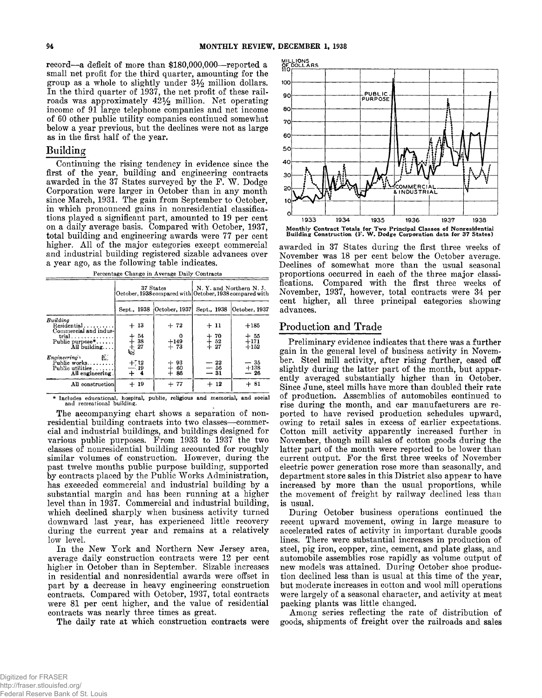**record— a deficit of more than \$180,000,000— reported a small net profit for the third quarter, amounting for the group as a whole to slightly under 3 % million dollars. In the third quarter of 1937, the net profit of these rail**roads was approximately  $42\frac{1}{2}$  million. Net operating **income of 91 large telephone companies and net income of 60 other public utility companies continued somewhat below a year previous, but the declines were not as large as in the first half of the year.**

# **Building**

**Continuing the rising tendency in evidence since the first of the year, building and engineering contracts awarded in the 37 States surveyed by the F . W . Dodge Corporation were larger in October than in any month since March, 1931. The gain from September to October, in which pronounced gains in nonresidential classifications played a significant part, amounted to 19 per cent on a daily average basis. Compared with October, 1937, total building and engineering awards were 77 per cent higher. A ll of the major categories except commercial and industrial building registered sizable advances over a year ago, as the following table indicates.**

| Percentage Change in Average Daily Contracts |  |  |
|----------------------------------------------|--|--|
|                                              |  |  |

|                                                                                                                                                                            | 37 States<br>October, 1938 compared with October, 1938 compared with |                           | N. Y. and Northern N. J.                  |                                              |  |  |
|----------------------------------------------------------------------------------------------------------------------------------------------------------------------------|----------------------------------------------------------------------|---------------------------|-------------------------------------------|----------------------------------------------|--|--|
|                                                                                                                                                                            | Sept., 1938                                                          | October, 1937             | Sept., 1938                               | October, 1937                                |  |  |
| Building<br>Residential<br>Commercial and indus-<br>$trial \ldots \ldots \ldots \ldots$<br>Public purpose $*, \ldots$<br>All building<br>Æ.<br>Enaineering<br>Public works | $+13$<br>$+54$<br>$+38$<br>$+27$                                     | $+72$<br>$+149$<br>$+73$  | $+11$<br>$+70$<br>$+52$<br>$+27$<br>$-22$ | $+185$<br>$+55$<br>$+171$<br>$+152$<br>$-35$ |  |  |
| Public utilities<br>All engineering.                                                                                                                                       | $^{+712}_{-19}$<br>$+ 4$                                             | $+ 93$<br>$+ 60$<br>$+86$ | $-56$<br>$-31$                            | $+138$<br>$-26$                              |  |  |
| All construction                                                                                                                                                           | $+19$                                                                | $+77$                     | $+12$                                     | $+81$                                        |  |  |

**\* Includes educational, hospital, public, religious and memorial, and social and recreational building.**

**The accompanying chart shows a separation of nonresidential building contracts into two classes— commercial and industrial buildings, and buildings designed for various public purposes. From 1933 to 1937 the two classes of nonresidential building accounted for roughly similar volumes of construction. However, during the past twelve months public purpose building, supported** by contracts placed by the Public Works Administration, **has exceeded commercial and industrial building by a substantial margin and has been running at a higher level than in 1937. Commercial and industrial building, which declined sharply when business activity turned downward last year, has experienced little recovery during the current year and remains at a relatively low level.**

**In the New York and Northern New Jersey area, average daily construction contracts were 12 per cent higher in October than in September. Sizable increases in residential and nonresidential awards were offset in part by a decrease in heavy engineering construction contracts. Compared with October, 1937, total contracts were 81 per cent higher, and the value of residential contracts was nearly three times as great.**

**The daily rate at which construction contracts were**



Monthly Contract Totals for Two Principal Classes of Nonresidential Building Construction **(F .** W. Dodge Corporation data for 37 States)

**awarded in 37 States during the first three weeks of November was 18 per cent below the October average. Declines of somewhat more than the usual seasonal proportions occurred in each of the three major classifications. Compared with the first three weeks of November, 1937, however, total contracts were 34 per cent higher, all three principal categories showing advances.**

# **Production and Trade**

**Preliminary evidence indicates that there was a further gain in the general level of business activity in November. Steel mill activity, after rising further, eased off slightly during the latter part of the month, but apparently averaged substantially higher than in October. Since June, steel mills have more than doubled their rate of production. Assemblies of automobiles continued to rise during the month, and car manufacturers are reported to have revised production schedules upward, owing to retail sales in excess of earlier expectations. Cotton mill activity apparently increased further in November, though mill sales of cotton goods during the latter part of the month were reported to be lower than current output. For the first three weeks of November electric power generation rose more than seasonally, and department store sales in this District also appear to have increased by more than the usual proportions, while the movement of freight by railway declined less than is usual.**

**During October business operations continued the recent upward movement, owing in large measure to accelerated rates of activity in important durable goods lines. There were substantial increases in production of steel, pig iron, copper, zinc, cement, and plate glass, and automobile assemblies rose rapidly as volume output of new models was attained. During October shoe production declined less than is usual at this time of the year, but moderate increases in cotton and wool mill operations were largely of a seasonal character, and activity at meat packing plants was little changed.**

**Am ong series reflecting the rate of distribution of goods, shipments of freight over the railroads and sales**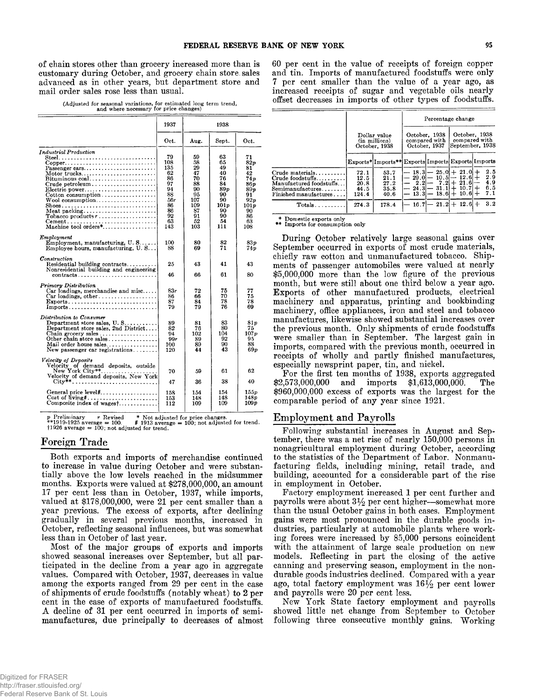**of chain stores other than grocery increased more than is customary during October, and grocery chain store, sales advanced as in other years, but department store and mail order sales rose less than usual.**

**(Adjusted for seasonal variations, for estimated long term trend, and where necessary for price changes)**

|                                                                                                                                                                                                                                                                                                                                             | 1937                                                                                 | 1938                                                                                |                                                                                       |                                                                                           |
|---------------------------------------------------------------------------------------------------------------------------------------------------------------------------------------------------------------------------------------------------------------------------------------------------------------------------------------------|--------------------------------------------------------------------------------------|-------------------------------------------------------------------------------------|---------------------------------------------------------------------------------------|-------------------------------------------------------------------------------------------|
|                                                                                                                                                                                                                                                                                                                                             | Oct.                                                                                 | Aug.                                                                                | Sept.                                                                                 | Oct.                                                                                      |
| <b>Industrial Production</b><br>$Copper \ldots \ldots \ldots \ldots \ldots \ldots \ldots \ldots$<br>$P$ assenger cars<br>Motor trucks<br>$Bituminous coal. \ldots \ldots \ldots \ldots \ldots$<br>Crude petroleum<br>Electric power<br>$\text{Cottom}$ consumption<br>Shoes<br>Meat packing<br>Tobacco products $r$<br>Machine tool orders* | 79<br>108<br>135<br>62<br>86<br>97<br>94<br>88<br>56r<br>86<br>86<br>92<br>63<br>143 | 59<br>58<br>29<br>47<br>70<br>88<br>90<br>95<br>107<br>109<br>87<br>91<br>52<br>103 | 63<br>65<br>49<br>40<br>76<br>84<br>89 v<br>90<br>90<br>101p<br>90<br>90<br>54<br>111 | 71<br>82p<br>81<br>42<br>74n<br>86 p<br>89n<br>91<br>92n<br>101p<br>90<br>86<br>63<br>108 |
| Employment<br>Employment, manufacturing, $U. S. \ldots$ .<br>Employee hours, manufacturing, U.S                                                                                                                                                                                                                                             | 100<br>88                                                                            | 80<br>69                                                                            | 82<br>71                                                                              | 83p<br>74 v                                                                               |
| $\emph{Construction}$<br>Residential building contracts<br>Nonresidential building and engineering<br>contracts                                                                                                                                                                                                                             | 25<br>46                                                                             | 43<br>66                                                                            | 41<br>61                                                                              | 43<br>80                                                                                  |
| Primary Distribution<br>Car loadings, merchandise and misc<br>Car loadings, other<br>Imports                                                                                                                                                                                                                                                | 83-<br>86<br>87<br>79                                                                | 72<br>66<br>84<br>79                                                                | 75<br>70<br>78<br>76                                                                  | 77<br>75<br>78<br>69                                                                      |
| Distribution to Consumer<br>Department store sales, $U, S, \ldots, \ldots$<br>Department store sales, 2nd District<br>Other chain store sales<br>Mail order house sales<br>New passenger car registrations                                                                                                                                  | 89<br>82<br>94<br>99r<br>100<br>120                                                  | 81<br>76<br>102<br>89<br>89<br>44                                                   | 83<br>80<br>104<br>92<br>90<br>43                                                     | 81 p<br>75<br>107p<br>95<br>88<br>69 v                                                    |
| Velocity of Deposits<br>Velocity of demand deposits, outside<br>New York City**<br>Velocity of demand deposits, New York                                                                                                                                                                                                                    | 70<br>47                                                                             | 59<br>36                                                                            | 61<br>38                                                                              | 62<br>40                                                                                  |
| Cost of living#<br>Composite index of wages $\dots$                                                                                                                                                                                                                                                                                         | 158<br>153<br>112                                                                    | 154<br>148<br>109                                                                   | 154<br>148<br>109                                                                     | 155p<br>148p<br>109 p                                                                     |

*p* **Preliminary** *r* **Revised \* Not adjusted for price changes. \*\*1919-1925 average = 100. # 1913 average = 100; not adjusted for trend. fl9 2 6 average = 100; not adjusted for trend.**

# **Foreign Trade**

**Both exports and imports of merchandise continued to increase in value during October and were substantially above the low levels reached in the midsummer months. Exports were valued at \$278,000,000, an amount 17 per cent less than in October, 1937, while imports, valued at \$178,000,000, were 21 per cent smaller than a year previous. The excess of exports, after declining gradually in several previous months, increased in October, reflecting seasonal influences, but was somewhat less than in October of last year.**

**Most of the major groups of exports and imports showed seasonal increases over September, but all participated in the decline from a year ago in aggregate values. Compared with October, 1937, decreases in value among the exports ranged from 29 per cent in the case of shipments of crude foodstuffs (notably wheat) to 2 per cent in the case of exports of manufactured foodstuffs. A decline of 31 per cent occurred in imports of semimanufactures, due principally to decreases of almost**

**60 per cent in the value of receipts of foreign copper and tin. Imports of manufactured foodstuffs were only 7 per cent smaller than the value of a year ago, as increased receipts of sugar and vegetable oils nearly offset decreases in imports of other types of foodstuffs.**

|                                                                                                                            | Percentage change                     |                                                    |      |                                                                                                                            |                      |                                                   |
|----------------------------------------------------------------------------------------------------------------------------|---------------------------------------|----------------------------------------------------|------|----------------------------------------------------------------------------------------------------------------------------|----------------------|---------------------------------------------------|
|                                                                                                                            |                                       | Dollar value<br>(in millions)<br>October, 1938     |      | October, 1938<br>compared with<br>October, 1937                                                                            |                      | October, 1938<br>compared with<br>September, 1938 |
|                                                                                                                            |                                       | Exports* Imports** Exports Imports Exports Imports |      |                                                                                                                            |                      |                                                   |
| Crude materials<br>Crude foodstuffs<br>Manufactured foodstuffs<br>$Semimanufactures. \dots \dots$<br>Finished manufactures | 72.1<br>12.5<br>20.8<br>44.5<br>124.4 | 53.7<br>21.1<br>27.2<br>35.8<br>40.6               |      | $-$ 18.3 $-$ 25.0 + 21.0 +<br>$-$ 29.0 $-$ 10.5 $-$<br>$-2.2$ $-7.2$ $+21.6$<br>$-24.3 - 31.1 +$<br>$13.3 - 18.6 + 10.6 +$ | $12.6 +$<br>$10.7 +$ | 2.5<br>2.9<br>4.9<br>6.5<br>7.1                   |
| Totals                                                                                                                     | 274.3                                 | 178.4                                              | 16.7 |                                                                                                                            | $-21.2 + 12.6 +$     | 3.2                                               |

**\* Domestic exports only \*\* Imports for consumption only**

**During October relatively large seasonal gains over September occurred in exports of most crude materials, chiefly raw cotton and unmanufactured tobacco. Shipments of passenger automobiles were valued at nearly \$5,000,000 more than the low figure of the previous month, but were still about one third below a year ago. Exports of other manufactured products, electrical machinery and apparatus, printing and bookbinding machinery, office appliances, iron and steel and tobacco manufactures, likewise showed substantial increases over the previous month. Only shipments of crude foodstuffs were smaller than in September. The largest gain in imports, compared with the previous month, occurred in receipts of wholly and partly finished manufactures, especially newsprint paper, tin, and nickel.**

**For the first ten months of 1938, exports aggregated \$2,573,000,000 and imports \$1,613,000,000. The \$960,000,000 excess of exports was the largest for the comparable period of any year since 1921.**

# **Employment and Payrolls**

**Following substantial increases in August and September, there was a net rise of nearly 150,000 persons in nonagricultural employment during October, according to the statistics of the Department of Labor. Nonmanufacturing fields, including mining, retail trade, and building, accounted for a considerable part of the rise in employment in October.**

**Factory employment increased 1 per cent further and** payrolls were about  $3\frac{1}{2}$  per cent higher—somewhat more **than the usual October gains in both cases. Employment gains were most pronounced in the durable goods industries, particularly at automobile plants where working forces were increased by 85,000 persons coincident with the attainment of large scale production on new models. Reflecting in part the closing of the active canning and preserving season, employment in the nondurable goods industries declined. Compared with a year** ago, total factory employment was  $16\frac{1}{2}$  per cent lower **and payrolls were 20 per cent less.**

**New York State factory employment and payrolls showed little net change from September to October** following three consecutive monthly gains. Working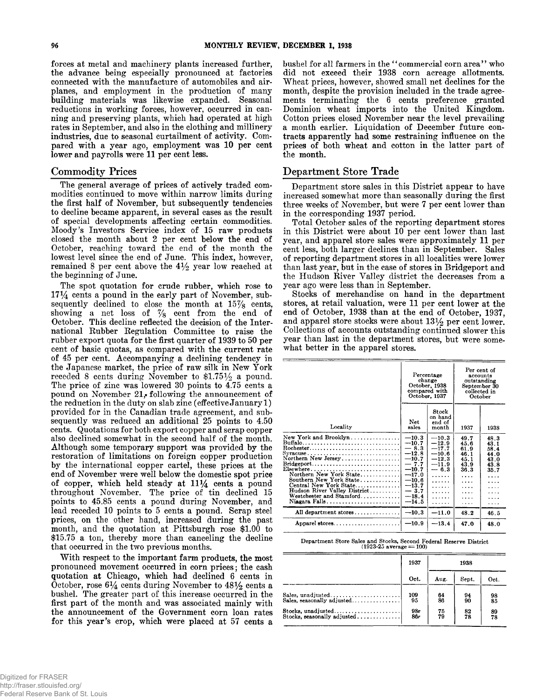**forces at metal and machinery plants increased further, the advance being especially pronounced at factories connected with the manufacture of automobiles and airplanes, and employment in the production of many building materials was likewise expanded. Seasonal reductions in working forces, however, occurred in canning and preserving plants, which had operated at high rates in September, and also in the clothing and millinery industries, due to seasonal curtailment of activity. Compared with a year ago, employment was 10 per cent lower and payrolls were 11 per cent less.**

# **Commodity Prices**

**The general average of prices of actively traded commodities continued to move within narrow limits during the first half of November, but subsequently tendencies to decline became apparent, in several cases as the result of special developments affecting certain commodities. M oody's Investors Service index of 15 raw products closed the month about 2 per cent below the end of October, reaching toward the end of the month the lowest level since the end of June. This index, however,** remained 8 per cent above the  $4\frac{1}{2}$  year low reached at **the beginning of June.**

**The spot quotation for crude rubber, which rose to 17^4 cents a pound in the early part of November, sub**sequently declined to close the month at  $15\%$  cents, **showing a net loss of % cent from the end of October. This decline reflected the decision of the International Rubber Regulation Committee to raise the rubber export quota for the first quarter of 1939 to 50 per cent of basic quotas, as compared with the current rate of 45 per cent. Accompanying a declining tendency in the Japanese market, the price of raw silk in New York** receded 8 cents during November to  $$1.75\frac{1}{2}$  a pound. **The price of zinc was lowered 30 points to 4.75 cents a pound on November 21,• following the announcement of the reduction in the duty on slab zinc (effective January 1) provided for in the Canadian trade agreement, and subsequently was reduced an additional 25 points to 4.50 cents. Quotations for both export copper and scrap copper also declined somewhat in the second half of the month. Although some temporary support was provided by the restoration of limitations on foreign copper production by the international copper cartel, these prices at the end of November were well below the domestic spot price** of copper, which held steady at  $11\frac{1}{4}$  cents a pound **throughout November. The price of tin declined 15 points to 45.85 cents a pound during November, and lead receded 10 points to 5 cents a pound. Scrap steel prices, on the other hand, increased during the past month, and the quotation at Pittsburgh rose \$1.00 to \$15.75 a ton, thereby more than canceling the decline that occurred in the two previous months.**

With respect to the important farm products, the most **pronounced movement occurred in corn prices; the cash quotation at Chicago, which had declined 6 cents in** October, rose  $6\frac{1}{4}$  cents during November to  $48\frac{1}{2}$  cents a **bushel. The greater part of this increase occurred in the first part of the month and was associated mainly with the announcement of the Government corn loan rates for this year's crop, which were placed at 57 cents a**

**bushel for all farmers in the " commercial corn area" who did not exceed their 1938 corn acreage allotments. W heat prices, however, showed small net declines for the month, despite the provision included in the trade agreements terminating the 6 cents preference granted Dominion wheat imports into the United Kingdom. Cotton prices closed November near the level prevailing a month earlier. Liquidation of December future contracts apparently had some restraining influence on the prices of both wheat and cotton in the latter part of the month.**

#### **Department Store Trade**

**Department store sales in this District appear to have increased somewhat more than seasonally during the first three weeks of November, but were 7 per cent lower than in the corresponding 1937 period.**

**Total October sales of the reporting department stores in this District were about 10 per cent lower than last year, and apparel store sales were approximately 11 per cent less, both larger declines than in September. Sales of reporting department stores in all localities were lower than last year, but in the case of stores in Bridgeport and the Hudson River Valley district the decreases from a year ago were less than in September.**

**Stocks of merchandise on hand in the department stores, at retail valuation, were 11 per cent lower at the end of October, 1938 than at the end of October, 1937,** and apparel store stocks were about  $13\frac{1}{2}$  per cent lower. **Collections of accounts outstanding continued slower this year than last in the department stores, but were somewhat better in the apparel stores.**

|                                                                                                                                                                                                                                                                                                                                        |                                                                                                                                          | Percentage<br>change<br>October, 1938<br>compared with<br>October, 1937                           |                                                                               | Per cent of<br>accounts<br>outstanding<br>September 30<br>collected in<br>October  |
|----------------------------------------------------------------------------------------------------------------------------------------------------------------------------------------------------------------------------------------------------------------------------------------------------------------------------------------|------------------------------------------------------------------------------------------------------------------------------------------|---------------------------------------------------------------------------------------------------|-------------------------------------------------------------------------------|------------------------------------------------------------------------------------|
| Locality                                                                                                                                                                                                                                                                                                                               | Net<br>sales                                                                                                                             | Stock<br>on hand<br>end of<br>month                                                               | 1937                                                                          | 1938                                                                               |
| New York and Brooklyn<br>Buffalo<br>Rochester<br>Syracuse<br>Northern New Jersey<br>$Bridge port \ldots \ldots \ldots \ldots \ldots \ldots \ldots \ldots$<br>$E$ lsewhere<br>Northern New York State<br>Southern New York State<br>Central New York State<br>Hudson River Valley District<br>Westchester and Stamford<br>Niagara Falls | $-10.3$<br>$-10.7$<br>$-8.3$<br>$-12.8$<br>$-10.7$<br>$-7.7$<br>$-10.7$<br>$-17.0$<br>$-10.6$<br>$-13.7$<br>$-3.7$<br>$-18.4$<br>$-14.5$ | $-10.3$<br>$-12.9$<br>$-17.7$<br>$-10.6$<br>$-12.3$<br>$-11.9$<br>$-6.3$<br>.<br>.<br>.<br>.<br>. | 49.7<br>45.6<br>61.9<br>46.1<br>45.1<br>43.9<br>36.3<br>.<br>.<br>.<br>.<br>. | 48.3<br>43.1<br>58.4<br>44.0<br>43.0<br>43.8<br>35.7<br>.<br>.<br>.<br>.<br>.<br>. |
| All department stores                                                                                                                                                                                                                                                                                                                  | $-10.3$                                                                                                                                  | $-11.0$                                                                                           | 48.2                                                                          | 46.5                                                                               |
| Apparel stores                                                                                                                                                                                                                                                                                                                         | $-10.9$                                                                                                                                  | $-13.4$                                                                                           | 47.0                                                                          | 48.0                                                                               |

**Department Store Sales and Stocks, Second Federal Reserve District (1923-25 average = 100)**

|                            | 1937 | 1938       |       |                 |  |
|----------------------------|------|------------|-------|-----------------|--|
|                            | Oct. | Aug.       | Sept. | Oct.            |  |
| Sales, unadjusted          | 109  | 64         | 94    | $\frac{98}{85}$ |  |
| Sales, seasonally adjusted | 95   | $8\bar{6}$ | 90    |                 |  |
|                            | 98r  | 75         | 82    | 89              |  |
|                            | 86r  | 79         | 78    | 78              |  |